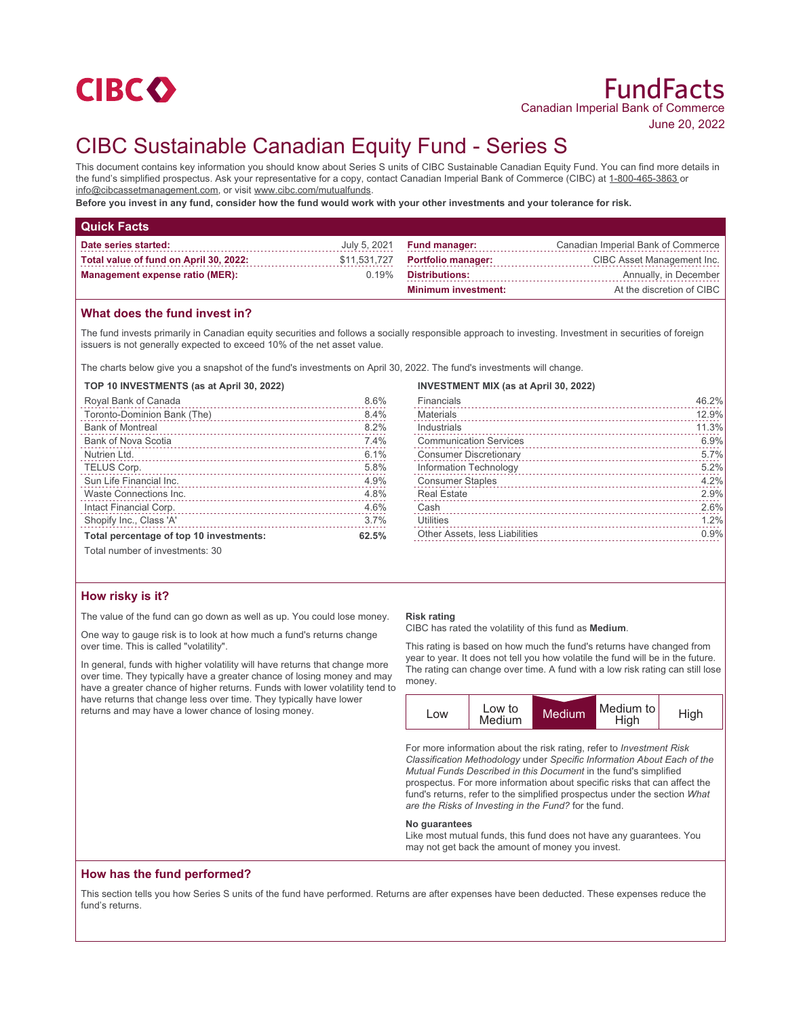

June 20, 2022

# CIBC Sustainable Canadian Equity Fund - Series S

This document contains key information you should know about Series S units of CIBC Sustainable Canadian Equity Fund. You can find more details in the fund's simplified prospectus. Ask your representative for a copy, contact Canadian Imperial Bank of Commerce (CIBC) at 1-800-465-3863 or info@cibcassetmanagement.com, or visit www.cibc.com/mutualfunds.

**Before you invest in any fund, consider how the fund would work with your other investments and your tolerance for risk.**

| <b>Quick Facts</b>                     |       |                                   |                                    |
|----------------------------------------|-------|-----------------------------------|------------------------------------|
| Date series started:                   |       | July 5, 2021 <b>Fund manager:</b> | Canadian Imperial Bank of Commerce |
| Total value of fund on April 30, 2022: |       | \$11,531,727 Portfolio manager:   | CIBC Asset Management Inc.         |
| <b>Management expense ratio (MER):</b> | 0.19% | Distributions:                    | Annually, in December              |
|                                        |       | <b>Minimum investment:</b>        | At the discretion of CIBC          |

## **What does the fund invest in?**

The fund invests primarily in Canadian equity securities and follows a socially responsible approach to investing. Investment in securities of foreign issuers is not generally expected to exceed 10% of the net asset value.

The charts below give you a snapshot of the fund's investments on April 30, 2022. The fund's investments will change.

#### **TOP 10 INVESTMENTS (as at April 30, 2022)**

| Royal Bank of Canada                    | 8.6%  |
|-----------------------------------------|-------|
| Toronto-Dominion Bank (The)             | 8.4%  |
| <b>Bank of Montreal</b>                 | 8.2%  |
| <b>Bank of Nova Scotia</b>              | 7.4%  |
| Nutrien Ltd.                            | 6.1%  |
| TELUS Corp.                             | 5.8%  |
| Sun Life Financial Inc.                 | 4.9%  |
| Waste Connections Inc.                  | 4.8%  |
| Intact Financial Corp.                  | 4.6%  |
| Shopify Inc., Class 'A'                 | 3.7%  |
| Total percentage of top 10 investments: | 62.5% |
|                                         |       |

## **INVESTMENT MIX (as at April 30, 2022)**

| Financials                     | 46.2% |
|--------------------------------|-------|
| <b>Materials</b>               | 12.9% |
| Industrials                    | 11.3% |
| <b>Communication Services</b>  | 6.9%  |
| <b>Consumer Discretionary</b>  | 5.7%  |
| Information Technology         | 5.2%  |
| <b>Consumer Staples</b>        | 4.2%  |
| <b>Real Estate</b>             | 2.9%  |
| Cash                           | 2.6%  |
| <b>Utilities</b>               | 1.2%  |
| Other Assets, less Liabilities | 0.9%  |

Total number of investments: 30

## **How risky is it?**

The value of the fund can go down as well as up. You could lose money.

One way to gauge risk is to look at how much a fund's returns change over time. This is called "volatility".

In general, funds with higher volatility will have returns that change more over time. They typically have a greater chance of losing money and may have a greater chance of higher returns. Funds with lower volatility tend to have returns that change less over time. They typically have lower returns and may have a lower chance of losing money.

#### **Risk rating**

CIBC has rated the volatility of this fund as **Medium**.

This rating is based on how much the fund's returns have changed from year to year. It does not tell you how volatile the fund will be in the future. The rating can change over time. A fund with a low risk rating can still lose money.



For more information about the risk rating, refer to *Investment Risk Classification Methodology* under *Specific Information About Each of the Mutual Funds Described in this Document* in the fund's simplified prospectus. For more information about specific risks that can affect the fund's returns, refer to the simplified prospectus under the section *What are the Risks of Investing in the Fund?* for the fund.

#### **No guarantees**

Like most mutual funds, this fund does not have any guarantees. You may not get back the amount of money you invest.

### **How has the fund performed?**

This section tells you how Series S units of the fund have performed. Returns are after expenses have been deducted. These expenses reduce the fund's returns.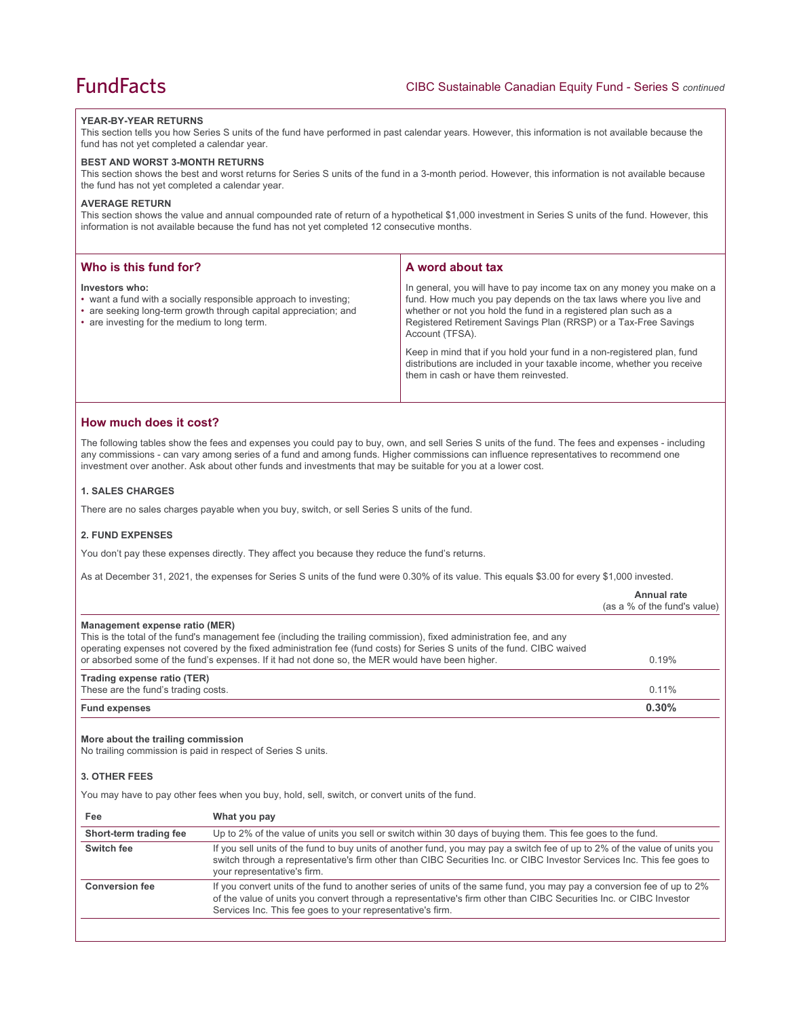#### **YEAR-BY-YEAR RETURNS**

This section tells you how Series S units of the fund have performed in past calendar years. However, this information is not available because the fund has not yet completed a calendar year.

#### **BEST AND WORST 3-MONTH RETURNS**

This section shows the best and worst returns for Series S units of the fund in a 3-month period. However, this information is not available because the fund has not yet completed a calendar year.

#### **AVERAGE RETURN**

This section shows the value and annual compounded rate of return of a hypothetical \$1,000 investment in Series S units of the fund. However, this information is not available because the fund has not yet completed 12 consecutive months.

| Who is this fund for?                                                                                                                                                                                  | A word about tax                                                                                                                                                                                                                                                                                                                                                               |
|--------------------------------------------------------------------------------------------------------------------------------------------------------------------------------------------------------|--------------------------------------------------------------------------------------------------------------------------------------------------------------------------------------------------------------------------------------------------------------------------------------------------------------------------------------------------------------------------------|
| Investors who:<br>• want a fund with a socially responsible approach to investing;<br>• are seeking long-term growth through capital appreciation; and<br>• are investing for the medium to long term. | In general, you will have to pay income tax on any money you make on a<br>fund. How much you pay depends on the tax laws where you live and<br>whether or not you hold the fund in a registered plan such as a<br>Registered Retirement Savings Plan (RRSP) or a Tax-Free Savings<br>Account (TFSA).<br>Keep in mind that if you hold your fund in a non-registered plan, fund |
|                                                                                                                                                                                                        | distributions are included in your taxable income, whether you receive<br>them in cash or have them reinvested.                                                                                                                                                                                                                                                                |

### **How much does it cost?**

The following tables show the fees and expenses you could pay to buy, own, and sell Series S units of the fund. The fees and expenses - including any commissions - can vary among series of a fund and among funds. Higher commissions can influence representatives to recommend one investment over another. Ask about other funds and investments that may be suitable for you at a lower cost.

#### **1. SALES CHARGES**

There are no sales charges payable when you buy, switch, or sell Series S units of the fund.

#### **2. FUND EXPENSES**

You don't pay these expenses directly. They affect you because they reduce the fund's returns.

As at December 31, 2021, the expenses for Series S units of the fund were 0.30% of its value. This equals \$3.00 for every \$1,000 invested.

|                                                                                                                                                                                                                                                                                                                                                                                       | Annual rate<br>(as a % of the fund's value) |
|---------------------------------------------------------------------------------------------------------------------------------------------------------------------------------------------------------------------------------------------------------------------------------------------------------------------------------------------------------------------------------------|---------------------------------------------|
| Management expense ratio (MER)<br>This is the total of the fund's management fee (including the trailing commission), fixed administration fee, and any<br>operating expenses not covered by the fixed administration fee (fund costs) for Series S units of the fund. CIBC waived<br>or absorbed some of the fund's expenses. If it had not done so, the MER would have been higher. | 0.19%                                       |
| Trading expense ratio (TER)<br>These are the fund's trading costs.                                                                                                                                                                                                                                                                                                                    | 0.11%                                       |
| <b>Fund expenses</b>                                                                                                                                                                                                                                                                                                                                                                  | $0.30\%$                                    |

#### **More about the trailing commission**

No trailing commission is paid in respect of Series S units.

## **3. OTHER FEES**

You may have to pay other fees when you buy, hold, sell, switch, or convert units of the fund.

| Fee                    | What you pay                                                                                                                                                                                                                                                                                               |
|------------------------|------------------------------------------------------------------------------------------------------------------------------------------------------------------------------------------------------------------------------------------------------------------------------------------------------------|
| Short-term trading fee | Up to 2% of the value of units you sell or switch within 30 days of buying them. This fee goes to the fund.                                                                                                                                                                                                |
| Switch fee             | If you sell units of the fund to buy units of another fund, you may pay a switch fee of up to 2% of the value of units you<br>switch through a representative's firm other than CIBC Securities Inc. or CIBC Investor Services Inc. This fee goes to<br>your representative's firm.                        |
| <b>Conversion fee</b>  | If you convert units of the fund to another series of units of the same fund, you may pay a conversion fee of up to 2%<br>of the value of units you convert through a representative's firm other than CIBC Securities Inc. or CIBC Investor<br>Services Inc. This fee goes to your representative's firm. |